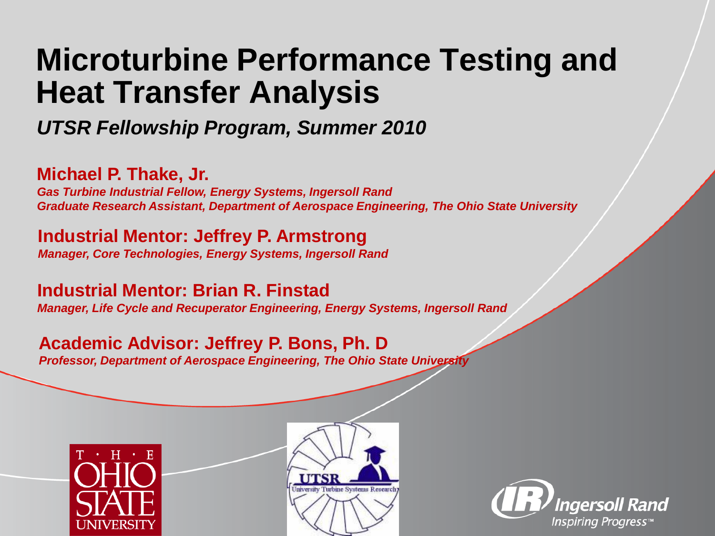#### **Microturbine Performance Testing and Heat Transfer Analysis**

*UTSR Fellowship Program, Summer 2010*

**Michael P. Thake, Jr.**

*Gas Turbine Industrial Fellow, Energy Systems, Ingersoll Rand Graduate Research Assistant, Department of Aerospace Engineering, The Ohio State University*

**Industrial Mentor: Jeffrey P. Armstrong** *Manager, Core Technologies, Energy Systems, Ingersoll Rand*

**Industrial Mentor: Brian R. Finstad** *Manager, Life Cycle and Recuperator Engineering, Energy Systems, Ingersoll Rand*

#### **Academic Advisor: Jeffrey P. Bons, Ph. D**

*Professor, Department of Aerospace Engineering, The Ohio State University*





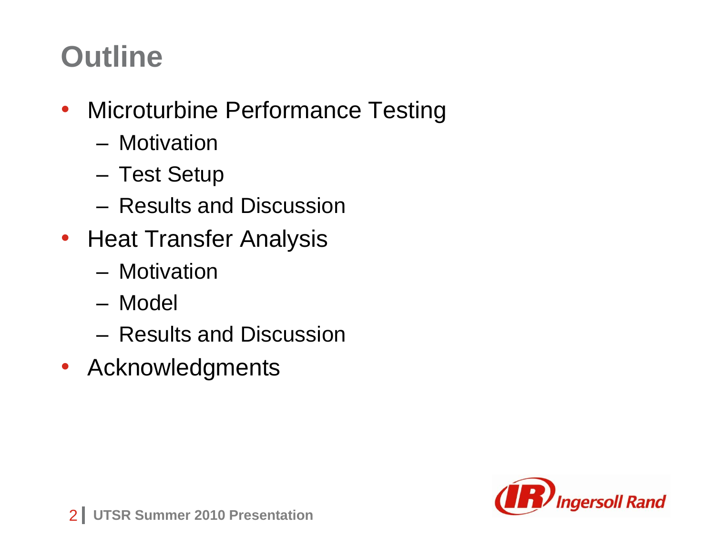#### **Outline**

- Microturbine Performance Testing
	- Motivation
	- Test Setup
	- Results and Discussion
- Heat Transfer Analysis
	- Motivation
	- Model
	- Results and Discussion
- Acknowledgments

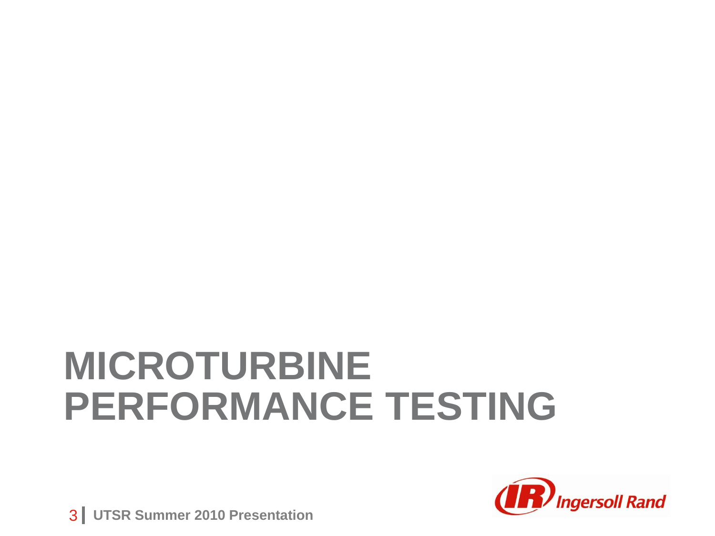## **MICROTURBINE PERFORMANCE TESTING**



**3 | UTSR Summer 2010 Presentation**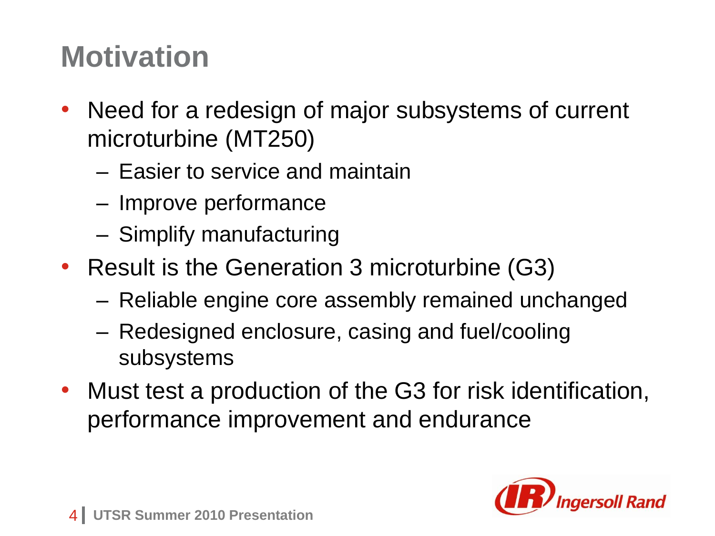#### **Motivation**

- Need for a redesign of major subsystems of current microturbine (MT250)
	- Easier to service and maintain
	- Improve performance
	- Simplify manufacturing
- Result is the Generation 3 microturbine (G3)
	- Reliable engine core assembly remained unchanged
	- Redesigned enclosure, casing and fuel/cooling subsystems
- Must test a production of the G3 for risk identification, performance improvement and endurance

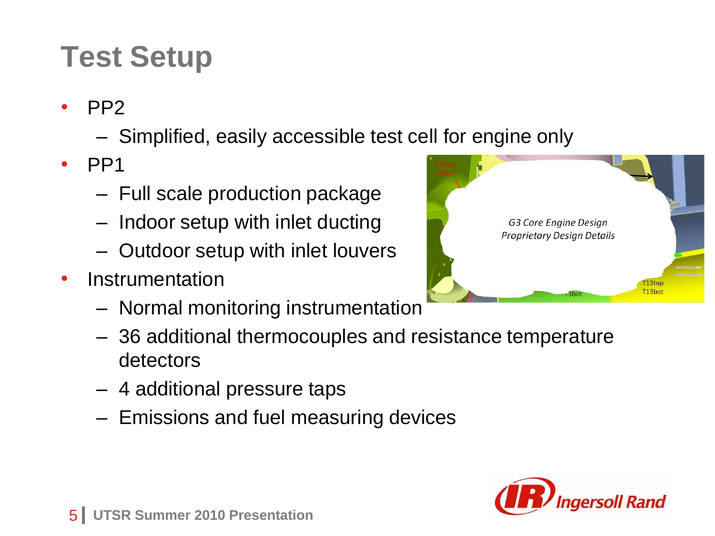#### **Test Setup**

- PP2
	- Simplified, easily accessible test cell for engine only
- $\cdot$  PP1
	- Full scale production package
	- Indoor setup with inlet ducting
	- Outdoor setup with inlet louvers
- Instrumentation
	- Normal monitoring instrumentation
	- 36 additional thermocouples and resistance temperature detectors
	- 4 additional pressure taps
	- Emissions and fuel measuring devices



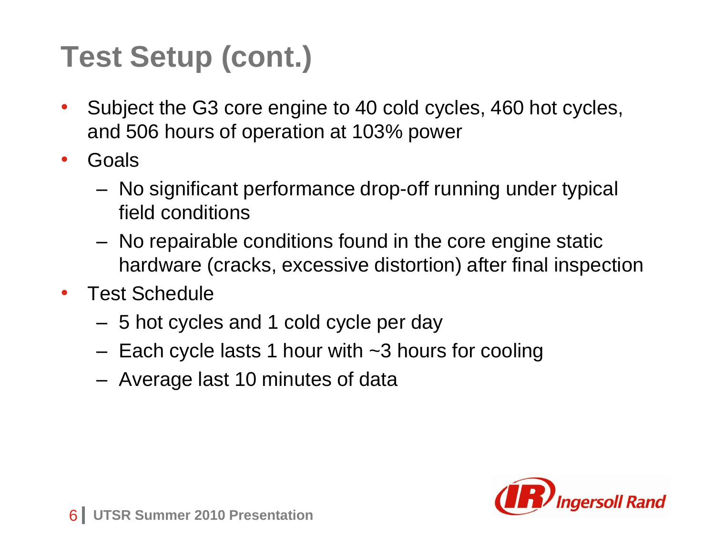### **Test Setup (cont.)**

- Subject the G3 core engine to 40 cold cycles, 460 hot cycles, and 506 hours of operation at 103% power
- Goals
	- No significant performance drop-off running under typical field conditions
	- No repairable conditions found in the core engine static hardware (cracks, excessive distortion) after final inspection
- Test Schedule
	- 5 hot cycles and 1 cold cycle per day
	- Each cycle lasts 1 hour with ~3 hours for cooling
	- Average last 10 minutes of data

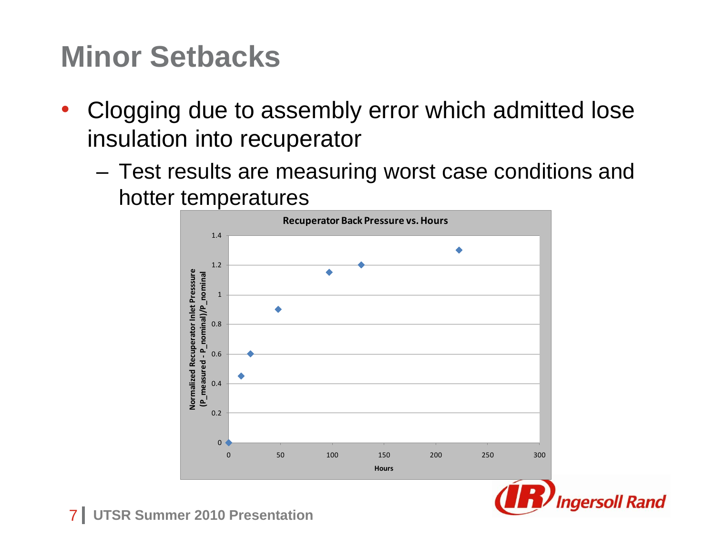#### **Minor Setbacks**

- Clogging due to assembly error which admitted lose insulation into recuperator
	- Test results are measuring worst case conditions and hotter temperatures





**7 | UTSR Summer 2010 Presentation**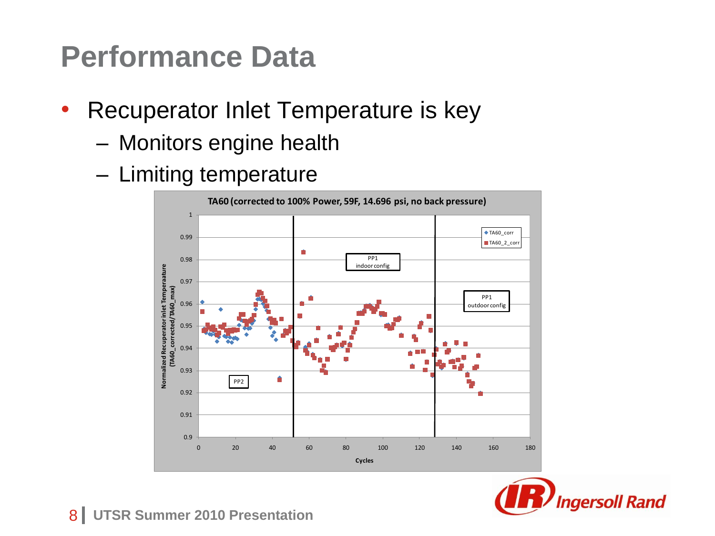#### **Performance Data**

- Recuperator Inlet Temperature is key
	- Monitors engine health
	- Limiting temperature



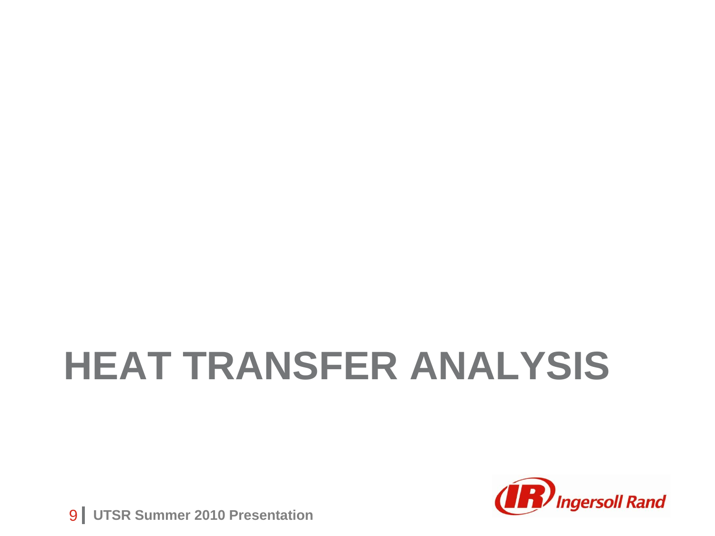# **HEAT TRANSFER ANALYSIS**



**9 | UTSR Summer 2010 Presentation**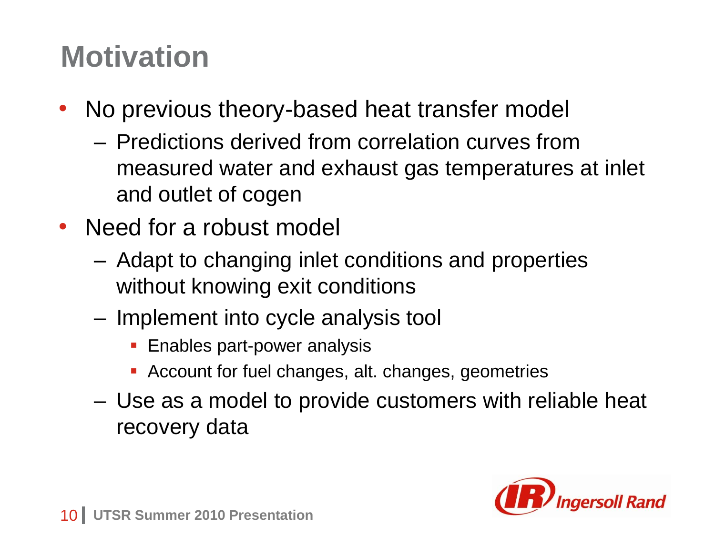#### **Motivation**

- No previous theory-based heat transfer model
	- Predictions derived from correlation curves from measured water and exhaust gas temperatures at inlet and outlet of cogen
- Need for a robust model
	- Adapt to changing inlet conditions and properties without knowing exit conditions
	- Implement into cycle analysis tool
		- **Enables part-power analysis**
		- Account for fuel changes, alt. changes, geometries
	- Use as a model to provide customers with reliable heat recovery data

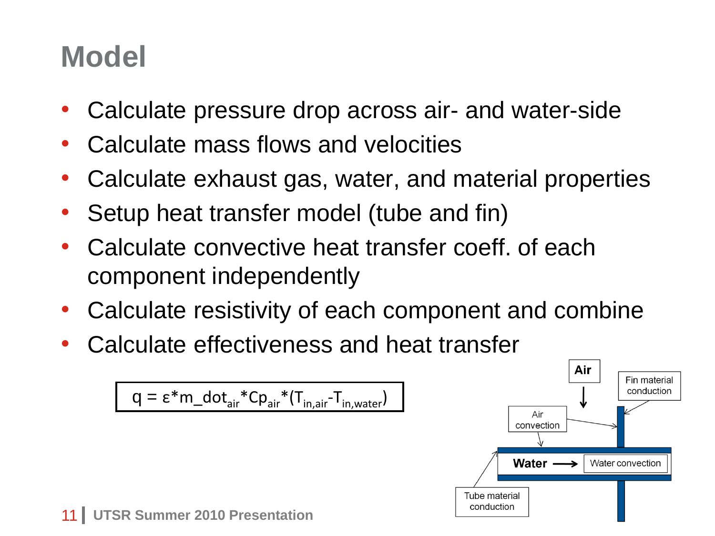#### **Model**

- Calculate pressure drop across air- and water-side
- Calculate mass flows and velocities
- Calculate exhaust gas, water, and material properties
- Setup heat transfer model (tube and fin)
- Calculate convective heat transfer coeff. of each component independently
- Calculate resistivity of each component and combine
- Calculate effectiveness and heat transfer

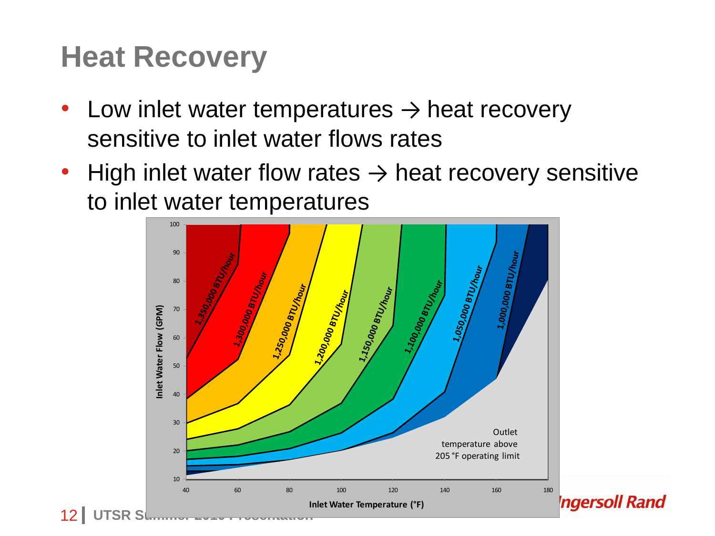#### **Heat Recovery**

- Low inlet water temperatures  $\rightarrow$  heat recovery sensitive to inlet water flows rates
- High inlet water flow rates  $\rightarrow$  heat recovery sensitive to inlet water temperatures

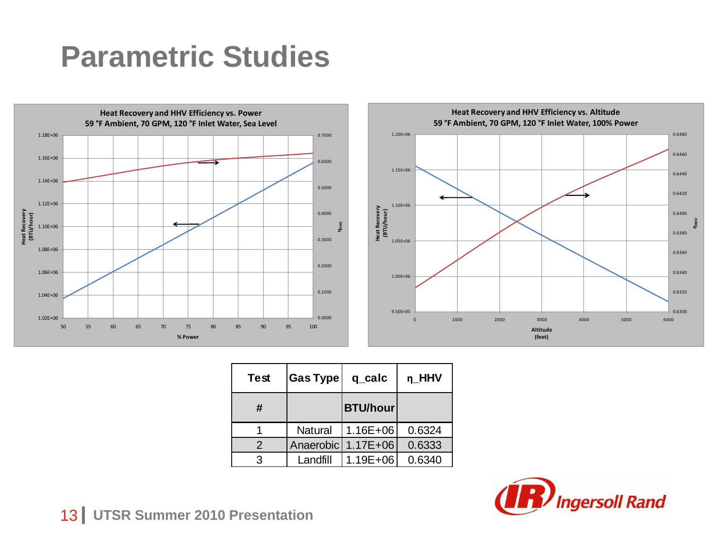#### **Parametric Studies**





| <b>Test</b> | <b>Gas Type</b> | q_calc          | n_HHV  |
|-------------|-----------------|-----------------|--------|
| #           |                 | <b>BTU/hour</b> |        |
|             | Natural         | $1.16E + 06$    | 0.6324 |
| 2           | Anaerobic       | $1.17E + 06$    | 0.6333 |
| З           | Landfill        | $1.19E + 06$    | 0.6340 |



**13 UTSR Summer 2010 Presentation**